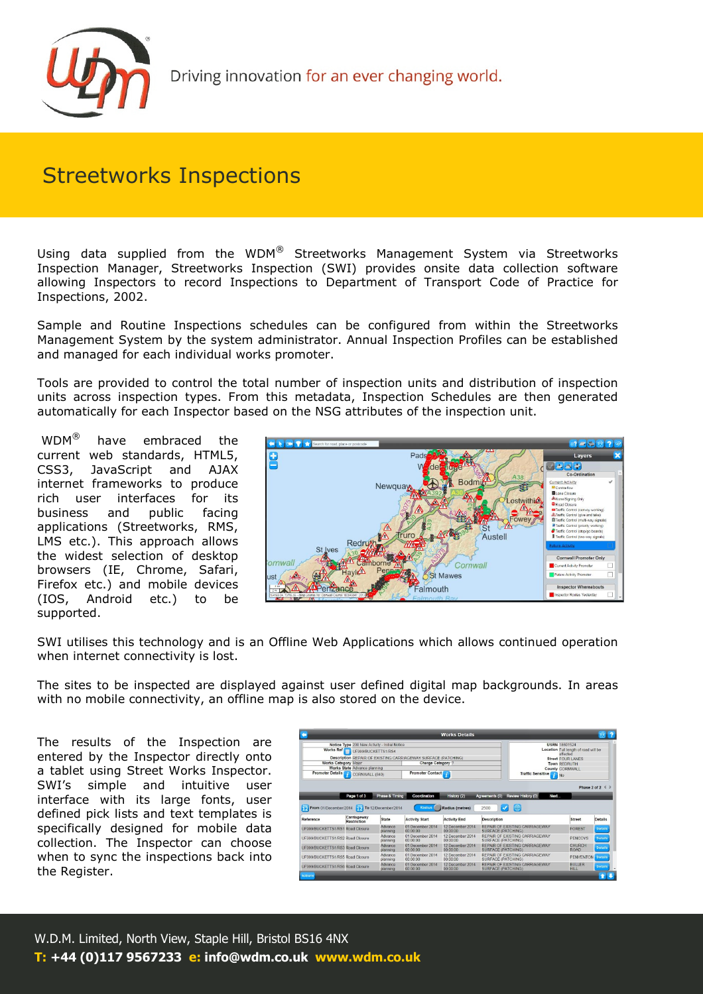

## Streetworks Inspections

Using data supplied from the WDM $^{\circledR}$  Streetworks Management System via Streetworks Inspection Manager, Streetworks Inspection (SWI) provides onsite data collection software allowing Inspectors to record Inspections to Department of Transport Code of Practice for Inspections, 2002.

Sample and Routine Inspections schedules can be configured from within the Streetworks Management System by the system administrator. Annual Inspection Profiles can be established and managed for each individual works promoter.

Tools are provided to control the total number of inspection units and distribution of inspection units across inspection types. From this metadata, Inspection Schedules are then generated automatically for each Inspector based on the NSG attributes of the inspection unit.

 WDM® have embraced the current web standards, HTML5, CSS3, JavaScript and AJAX internet frameworks to produce rich user interfaces for its business and public facing applications (Streetworks, RMS, LMS etc.). This approach allows the widest selection of desktop browsers (IE, Chrome, Safari, Firefox etc.) and mobile devices (IOS, Android etc.) to be supported.



SWI utilises this technology and is an Offline Web Applications which allows continued operation when internet connectivity is lost.

The sites to be inspected are displayed against user defined digital map backgrounds. In areas with no mobile connectivity, an offline map is also stored on the device.

The results of the Inspection are entered by the Inspector directly onto a tablet using Street Works Inspector. SWI's simple and intuitive user interface with its large fonts, user defined pick lists and text templates is specifically designed for mobile data collection. The Inspector can choose when to sync the inspections back into the Register.

|                                                                      |                                               |                     |                                                               | <b>Works Details</b>         |                                                                                        |                                                  |                           |  |
|----------------------------------------------------------------------|-----------------------------------------------|---------------------|---------------------------------------------------------------|------------------------------|----------------------------------------------------------------------------------------|--------------------------------------------------|---------------------------|--|
|                                                                      | Notice Type 200 New Activity - Initial Notice |                     |                                                               |                              |                                                                                        | <b>USRN 18601524</b>                             |                           |  |
| Works Ref <sub>lecture</sub> UF999/BUCKETTS1/RS4                     |                                               |                     |                                                               |                              |                                                                                        | Location Full length of road will be<br>affected |                           |  |
|                                                                      |                                               |                     | Description REPAIR OF EXISTING CARRIAGEWAY SURFACE (PATCHING) |                              |                                                                                        | <b>Street FOUR LANES</b>                         |                           |  |
| <b>Works Category Major</b>                                          |                                               |                     | Charge Category ?                                             |                              |                                                                                        | Town REDRUTH                                     |                           |  |
|                                                                      | Works State Advance planning                  |                     |                                                               |                              |                                                                                        | County CORNWALL                                  |                           |  |
| Promoter Details<br>CORNWALL (840)                                   |                                               |                     | Promoter Contact                                              |                              |                                                                                        | Traffic Sensitive No.                            |                           |  |
|                                                                      | Page 1 of 3                                   | Phase & Timing      | Coordination                                                  | History (2)                  | Next<br>Review History (0)<br>Agreements (0)                                           |                                                  |                           |  |
| From 01/December/2014 To 12/December/2014                            |                                               |                     | <b>Radius</b>                                                 | Radius (metres)              | 曲<br>2500<br>v                                                                         |                                                  |                           |  |
| Reference                                                            | Carriageway<br>Restriction                    | <b>State</b>        | <b>Activity Start</b>                                         | <b>Activity End</b>          | Description                                                                            | <b>Street</b>                                    | Details                   |  |
| UF999/BUCKETTS1/RS1 Road Closure                                     |                                               | Advance<br>planning | 01 December 2014<br>00:00:00                                  | 12 December 2014<br>00:00:00 | REPAIR OF EXISTING CARRIAGEWAY<br>SURFACE (PATCHING)                                   | <b>FOREST</b>                                    | Details                   |  |
| UE999/BUCKETTS1/RS2 Road Closure                                     |                                               | Advance<br>planning | 01 December 2014<br>00:00:00                                  | 12 December 2014<br>00:00:00 | REPAIR OF EXISTING CARRIAGEWAY<br>SURFACE (PATCHING)                                   | <b>PENCOYS</b>                                   |                           |  |
|                                                                      |                                               | Advance<br>planning | 01 December 2014<br>00:00:00                                  | 12 December 2014<br>00:00:00 | REPAIR OF EXISTING CARRIAGEWAY<br><b>SURFACE (PATCHING)</b>                            | CHURCH<br><b>ROAD</b>                            | <b>Details</b><br>Details |  |
| UF999/BUCKETTS1/RS3 Road Closure<br>UF999/BUCKETTS1/RS5 Road Closure |                                               | Advance<br>planning | 01 December 2014<br>00:00:00<br>01 December 2014              | 12 December 2014<br>00:00:00 | REPAIR OF EXISTING CARRIAGEWAY<br>SURFACE (PATCHING)<br>REPAIR OF EXISTING CARRIAGEWAY | <b>PENVENTON</b><br><b>BULLER</b>                | <b>Details</b>            |  |